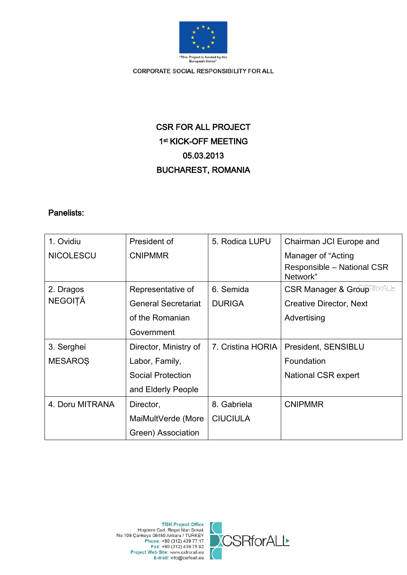

# CSR FOR ALL PROJECT 1st KICK-OFF MEETING 05.03.2013 BUCHAREST, ROMANIA

# Panelists:

| 1. Ovidiu                   | President of               | 5. Rodica LUPU    | Chairman JCI Europe and                |
|-----------------------------|----------------------------|-------------------|----------------------------------------|
| <b>NICOLESCU</b>            | <b>CNIPMMR</b>             |                   | Manager of "Acting                     |
|                             |                            |                   | Responsible - National CSR<br>Network" |
| 2. Dragos<br><b>NEGOITĂ</b> | Representative of          | 6. Semida         | <b>CSR Manager &amp; Group</b> RforALL |
|                             | <b>General Secretariat</b> | <b>DURIGA</b>     | <b>Creative Director, Next</b>         |
|                             | of the Romanian            |                   | Advertising                            |
|                             | Government                 |                   |                                        |
| 3. Serghei                  | Director, Ministry of      | 7. Cristina HORIA | President, SENSIBLU                    |
| <b>MESAROS</b>              | Labor, Family,             |                   | Foundation                             |
|                             | <b>Social Protection</b>   |                   | National CSR expert                    |
|                             | and Elderly People         |                   |                                        |
| 4. Doru MITRANA             | Director,                  | 8. Gabriela       | <b>CNIPMMR</b>                         |
|                             | MaiMultVerde (More         | <b>CIUCIULA</b>   |                                        |
|                             | Green) Association         |                   |                                        |

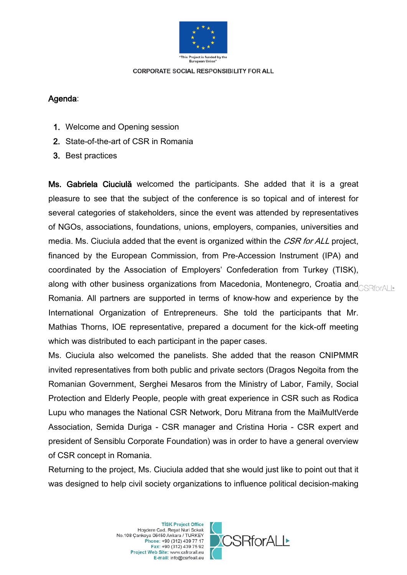

# Agenda:

- 1. Welcome and Opening session
- 2. State-of-the-art of CSR in Romania
- 3. Best practices

Ms. Gabriela Ciuciulă welcomed the participants. She added that it is a great pleasure to see that the subject of the conference is so topical and of interest for several categories of stakeholders, since the event was attended by representatives of NGOs, associations, foundations, unions, employers, companies, universities and media. Ms. Ciuciula added that the event is organized within the CSR for ALL project, financed by the European Commission, from Pre-Accession Instrument (IPA) and coordinated by the Association of Employers' Confederation from Turkey (TISK), along with other business organizations from Macedonia, Montenegro, Croatia and $_{\text{CSRforAll}\pm}$ Romania. All partners are supported in terms of know-how and experience by the International Organization of Entrepreneurs. She told the participants that Mr. Mathias Thorns, IOE representative, prepared a document for the kick-off meeting which was distributed to each participant in the paper cases.

Ms. Ciuciula also welcomed the panelists. She added that the reason CNIPMMR invited representatives from both public and private sectors (Dragos Negoita from the Romanian Government, Serghei Mesaros from the Ministry of Labor, Family, Social Protection and Elderly People, people with great experience in CSR such as Rodica Lupu who manages the National CSR Network, Doru Mitrana from the MaiMultVerde Association, Semida Duriga - CSR manager and Cristina Horia - CSR expert and president of Sensiblu Corporate Foundation) was in order to have a general overview of CSR concept in Romania.

Returning to the project, Ms. Ciuciula added that she would just like to point out that it was designed to help civil society organizations to influence political decision-making

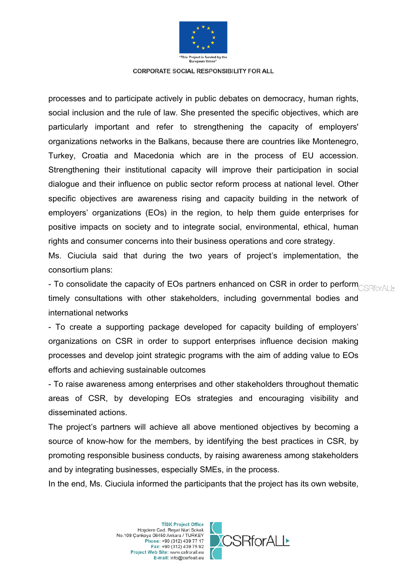

processes and to participate actively in public debates on democracy, human rights, social inclusion and the rule of law. She presented the specific objectives, which are particularly important and refer to strengthening the capacity of employers' organizations networks in the Balkans, because there are countries like Montenegro, Turkey, Croatia and Macedonia which are in the process of EU accession. Strengthening their institutional capacity will improve their participation in social dialogue and their influence on public sector reform process at national level. Other specific objectives are awareness rising and capacity building in the network of employers' organizations (EOs) in the region, to help them guide enterprises for positive impacts on society and to integrate social, environmental, ethical, human rights and consumer concerns into their business operations and core strategy.

Ms. Ciuciula said that during the two years of project's implementation, the consortium plans:

- To consolidate the capacity of EOs partners enhanced on CSR in order to perform $_{\text{CSRforALL}}$ timely consultations with other stakeholders, including governmental bodies and international networks

- To create a supporting package developed for capacity building of employers' organizations on CSR in order to support enterprises influence decision making processes and develop joint strategic programs with the aim of adding value to EOs efforts and achieving sustainable outcomes

- To raise awareness among enterprises and other stakeholders throughout thematic areas of CSR, by developing EOs strategies and encouraging visibility and disseminated actions.

The project's partners will achieve all above mentioned objectives by becoming a source of know-how for the members, by identifying the best practices in CSR, by promoting responsible business conducts, by raising awareness among stakeholders and by integrating businesses, especially SMEs, in the process.

In the end, Ms. Ciuciula informed the participants that the project has its own website,

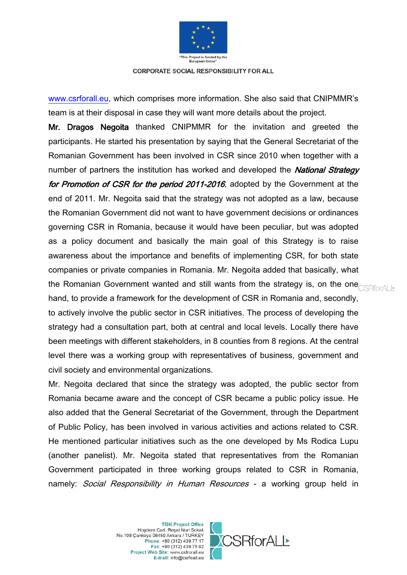

[www.csrforall.eu,](http://www.csrforall.eu/) which comprises more information. She also said that CNIPMMR's team is at their disposal in case they will want more details about the project.

Mr. Dragos Negoita thanked CNIPMMR for the invitation and greeted the participants. He started his presentation by saying that the General Secretariat of the Romanian Government has been involved in CSR since 2010 when together with a number of partners the institution has worked and developed the **National Strategy** for Promotion of CSR for the period 2011-2016, adopted by the Government at the end of 2011. Mr. Negoita said that the strategy was not adopted as a law, because the Romanian Government did not want to have government decisions or ordinances governing CSR in Romania, because it would have been peculiar, but was adopted as a policy document and basically the main goal of this Strategy is to raise awareness about the importance and benefits of implementing CSR, for both state companies or private companies in Romania. Mr. Negoita added that basically, what the Romanian Government wanted and still wants from the strategy is, on the one **CSRforALL** hand, to provide a framework for the development of CSR in Romania and, secondly, to actively involve the public sector in CSR initiatives. The process of developing the strategy had a consultation part, both at central and local levels. Locally there have been meetings with different stakeholders, in 8 counties from 8 regions. At the central level there was a working group with representatives of business, government and civil society and environmental organizations.

Mr. Negoita declared that since the strategy was adopted, the public sector from Romania became aware and the concept of CSR became a public policy issue. He also added that the General Secretariat of the Government, through the Department of Public Policy, has been involved in various activities and actions related to CSR. He mentioned particular initiatives such as the one developed by Ms Rodica Lupu (another panelist). Mr. Negoita stated that representatives from the Romanian Government participated in three working groups related to CSR in Romania, namely: Social Responsibility in Human Resources - a working group held in

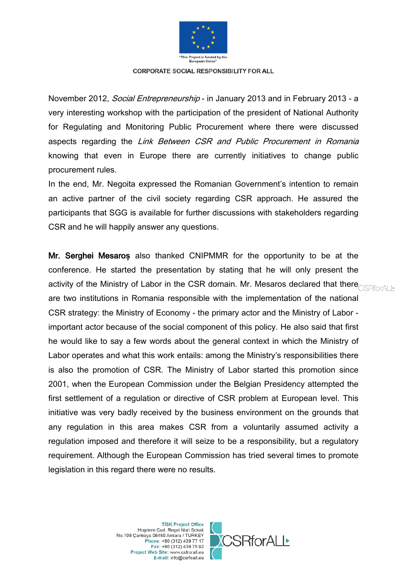

November 2012, Social Entrepreneurship - in January 2013 and in February 2013 - a very interesting workshop with the participation of the president of National Authority for Regulating and Monitoring Public Procurement where there were discussed aspects regarding the Link Between CSR and Public Procurement in Romania knowing that even in Europe there are currently initiatives to change public procurement rules.

In the end, Mr. Negoita expressed the Romanian Government's intention to remain an active partner of the civil society regarding CSR approach. He assured the participants that SGG is available for further discussions with stakeholders regarding CSR and he will happily answer any questions.

Mr. Serghei Mesaro**ș** also thanked CNIPMMR for the opportunity to be at the conference. He started the presentation by stating that he will only present the activity of the Ministry of Labor in the CSR domain. Mr. Mesaros declared that there **CSRforALL** are two institutions in Romania responsible with the implementation of the national CSR strategy: the Ministry of Economy - the primary actor and the Ministry of Labor important actor because of the social component of this policy. He also said that first he would like to say a few words about the general context in which the Ministry of Labor operates and what this work entails: among the Ministry's responsibilities there is also the promotion of CSR. The Ministry of Labor started this promotion since 2001, when the European Commission under the Belgian Presidency attempted the first settlement of a regulation or directive of CSR problem at European level. This initiative was very badly received by the business environment on the grounds that any regulation in this area makes CSR from a voluntarily assumed activity a regulation imposed and therefore it will seize to be a responsibility, but a regulatory requirement. Although the European Commission has tried several times to promote legislation in this regard there were no results.

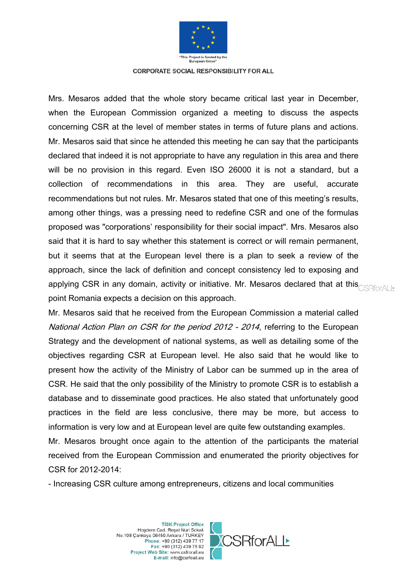

Mrs. Mesaros added that the whole story became critical last year in December, when the European Commission organized a meeting to discuss the aspects concerning CSR at the level of member states in terms of future plans and actions. Mr. Mesaros said that since he attended this meeting he can say that the participants declared that indeed it is not appropriate to have any regulation in this area and there will be no provision in this regard. Even ISO 26000 it is not a standard, but a collection of recommendations in this area. They are useful, accurate recommendations but not rules. Mr. Mesaros stated that one of this meeting's results, among other things, was a pressing need to redefine CSR and one of the formulas proposed was "corporations' responsibility for their social impact". Mrs. Mesaros also said that it is hard to say whether this statement is correct or will remain permanent, but it seems that at the European level there is a plan to seek a review of the approach, since the lack of definition and concept consistency led to exposing and applying CSR in any domain, activity or initiative. Mr. Mesaros declared that at this<sub>CSRforALL</sub> point Romania expects a decision on this approach.

Mr. Mesaros said that he received from the European Commission a material called National Action Plan on CSR for the period 2012 - 2014, referring to the European Strategy and the development of national systems, as well as detailing some of the objectives regarding CSR at European level. He also said that he would like to present how the activity of the Ministry of Labor can be summed up in the area of CSR. He said that the only possibility of the Ministry to promote CSR is to establish a database and to disseminate good practices. He also stated that unfortunately good practices in the field are less conclusive, there may be more, but access to information is very low and at European level are quite few outstanding examples.

Mr. Mesaros brought once again to the attention of the participants the material received from the European Commission and enumerated the priority objectives for CSR for 2012-2014:

- Increasing CSR culture among entrepreneurs, citizens and local communities

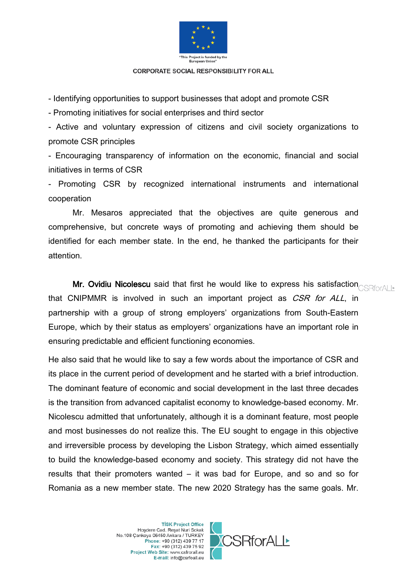

- Identifying opportunities to support businesses that adopt and promote CSR

- Promoting initiatives for social enterprises and third sector

- Active and voluntary expression of citizens and civil society organizations to promote CSR principles

- Encouraging transparency of information on the economic, financial and social initiatives in terms of CSR

- Promoting CSR by recognized international instruments and international cooperation

Mr. Mesaros appreciated that the objectives are quite generous and comprehensive, but concrete ways of promoting and achieving them should be identified for each member state. In the end, he thanked the participants for their attention.

Mr. Ovidiu Nicolescu said that first he would like to express his satisfaction **COR TOTALL** that CNIPMMR is involved in such an important project as CSR for ALL, in partnership with a group of strong employers' organizations from South-Eastern Europe, which by their status as employers' organizations have an important role in ensuring predictable and efficient functioning economies.

He also said that he would like to say a few words about the importance of CSR and its place in the current period of development and he started with a brief introduction. The dominant feature of economic and social development in the last three decades is the transition from advanced capitalist economy to knowledge-based economy. Mr. Nicolescu admitted that unfortunately, although it is a dominant feature, most people and most businesses do not realize this. The EU sought to engage in this objective and irreversible process by developing the Lisbon Strategy, which aimed essentially to build the knowledge-based economy and society. This strategy did not have the results that their promoters wanted – it was bad for Europe, and so and so for Romania as a new member state. The new 2020 Strategy has the same goals. Mr.

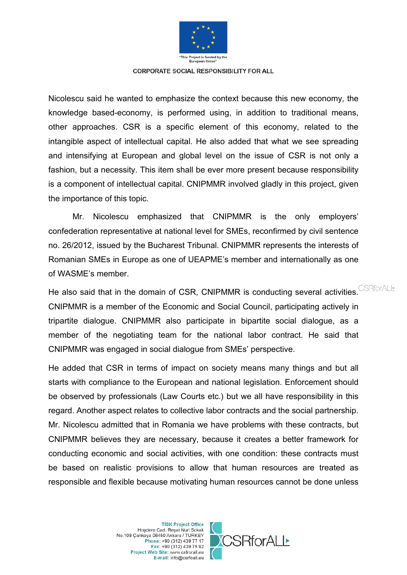

Nicolescu said he wanted to emphasize the context because this new economy, the knowledge based-economy, is performed using, in addition to traditional means, other approaches. CSR is a specific element of this economy, related to the intangible aspect of intellectual capital. He also added that what we see spreading and intensifying at European and global level on the issue of CSR is not only a fashion, but a necessity. This item shall be ever more present because responsibility is a component of intellectual capital. CNIPMMR involved gladly in this project, given the importance of this topic.

Mr. Nicolescu emphasized that CNIPMMR is the only employers' confederation representative at national level for SMEs, reconfirmed by civil sentence no. 26/2012, issued by the Bucharest Tribunal. CNIPMMR represents the interests of Romanian SMEs in Europe as one of UEAPME's member and internationally as one of WASME's member.

He also said that in the domain of CSR, CNIPMMR is conducting several activities. CSRforALL CNIPMMR is a member of the Economic and Social Council, participating actively in tripartite dialogue. CNIPMMR also participate in bipartite social dialogue, as a member of the negotiating team for the national labor contract. He said that CNIPMMR was engaged in social dialogue from SMEs' perspective.

He added that CSR in terms of impact on society means many things and but all starts with compliance to the European and national legislation. Enforcement should be observed by professionals (Law Courts etc.) but we all have responsibility in this regard. Another aspect relates to collective labor contracts and the social partnership. Mr. Nicolescu admitted that in Romania we have problems with these contracts, but CNIPMMR believes they are necessary, because it creates a better framework for conducting economic and social activities, with one condition: these contracts must be based on realistic provisions to allow that human resources are treated as responsible and flexible because motivating human resources cannot be done unless

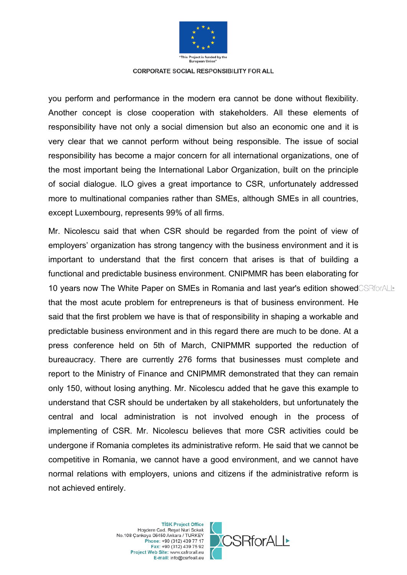

you perform and performance in the modern era cannot be done without flexibility. Another concept is close cooperation with stakeholders. All these elements of responsibility have not only a social dimension but also an economic one and it is very clear that we cannot perform without being responsible. The issue of social responsibility has become a major concern for all international organizations, one of the most important being the International Labor Organization, built on the principle of social dialogue. ILO gives a great importance to CSR, unfortunately addressed more to multinational companies rather than SMEs, although SMEs in all countries, except Luxembourg, represents 99% of all firms.

Mr. Nicolescu said that when CSR should be regarded from the point of view of employers' organization has strong tangency with the business environment and it is important to understand that the first concern that arises is that of building a functional and predictable business environment. CNIPMMR has been elaborating for 10 years now The White Paper on SMEs in Romania and last year's edition showed CSRforALL that the most acute problem for entrepreneurs is that of business environment. He said that the first problem we have is that of responsibility in shaping a workable and predictable business environment and in this regard there are much to be done. At a press conference held on 5th of March, CNIPMMR supported the reduction of bureaucracy. There are currently 276 forms that businesses must complete and report to the Ministry of Finance and CNIPMMR demonstrated that they can remain only 150, without losing anything. Mr. Nicolescu added that he gave this example to understand that CSR should be undertaken by all stakeholders, but unfortunately the central and local administration is not involved enough in the process of implementing of CSR. Mr. Nicolescu believes that more CSR activities could be undergone if Romania completes its administrative reform. He said that we cannot be competitive in Romania, we cannot have a good environment, and we cannot have normal relations with employers, unions and citizens if the administrative reform is not achieved entirely.

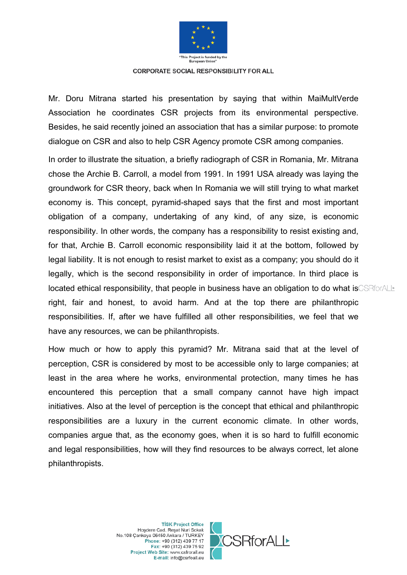

Mr. Doru Mitrana started his presentation by saying that within MaiMultVerde Association he coordinates CSR projects from its environmental perspective. Besides, he said recently joined an association that has a similar purpose: to promote dialogue on CSR and also to help CSR Agency promote CSR among companies.

In order to illustrate the situation, a briefly radiograph of CSR in Romania, Mr. Mitrana chose the Archie B. Carroll, a model from 1991. In 1991 USA already was laying the groundwork for CSR theory, back when In Romania we will still trying to what market economy is. This concept, pyramid-shaped says that the first and most important obligation of a company, undertaking of any kind, of any size, is economic responsibility. In other words, the company has a responsibility to resist existing and, for that, Archie B. Carroll economic responsibility laid it at the bottom, followed by legal liability. It is not enough to resist market to exist as a company; you should do it legally, which is the second responsibility in order of importance. In third place is located ethical responsibility, that people in business have an obligation to do what isCSRforALL right, fair and honest, to avoid harm. And at the top there are philanthropic responsibilities. If, after we have fulfilled all other responsibilities, we feel that we have any resources, we can be philanthropists.

How much or how to apply this pyramid? Mr. Mitrana said that at the level of perception, CSR is considered by most to be accessible only to large companies; at least in the area where he works, environmental protection, many times he has encountered this perception that a small company cannot have high impact initiatives. Also at the level of perception is the concept that ethical and philanthropic responsibilities are a luxury in the current economic climate. In other words, companies argue that, as the economy goes, when it is so hard to fulfill economic and legal responsibilities, how will they find resources to be always correct, let alone philanthropists.

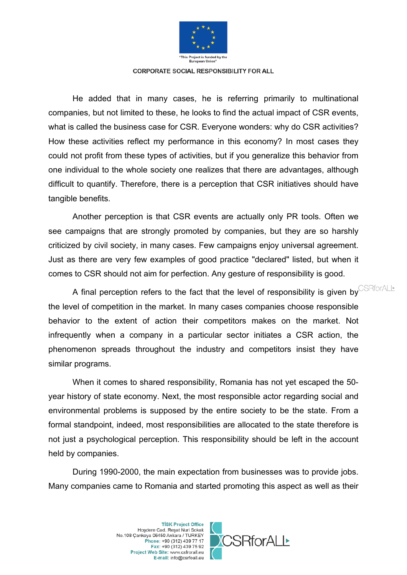

He added that in many cases, he is referring primarily to multinational companies, but not limited to these, he looks to find the actual impact of CSR events, what is called the business case for CSR. Everyone wonders: why do CSR activities? How these activities reflect my performance in this economy? In most cases they could not profit from these types of activities, but if you generalize this behavior from one individual to the whole society one realizes that there are advantages, although difficult to quantify. Therefore, there is a perception that CSR initiatives should have tangible benefits.

Another perception is that CSR events are actually only PR tools. Often we see campaigns that are strongly promoted by companies, but they are so harshly criticized by civil society, in many cases. Few campaigns enjoy universal agreement. Just as there are very few examples of good practice "declared" listed, but when it comes to CSR should not aim for perfection. Any gesture of responsibility is good.

A final perception refers to the fact that the level of responsibility is given by CSRforALL the level of competition in the market. In many cases companies choose responsible behavior to the extent of action their competitors makes on the market. Not infrequently when a company in a particular sector initiates a CSR action, the phenomenon spreads throughout the industry and competitors insist they have similar programs.

When it comes to shared responsibility, Romania has not yet escaped the 50 year history of state economy. Next, the most responsible actor regarding social and environmental problems is supposed by the entire society to be the state. From a formal standpoint, indeed, most responsibilities are allocated to the state therefore is not just a psychological perception. This responsibility should be left in the account held by companies.

During 1990-2000, the main expectation from businesses was to provide jobs. Many companies came to Romania and started promoting this aspect as well as their

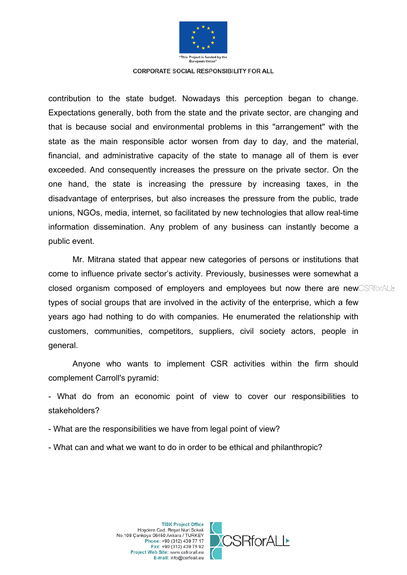

contribution to the state budget. Nowadays this perception began to change. Expectations generally, both from the state and the private sector, are changing and that is because social and environmental problems in this "arrangement" with the state as the main responsible actor worsen from day to day, and the material, financial, and administrative capacity of the state to manage all of them is ever exceeded. And consequently increases the pressure on the private sector. On the one hand, the state is increasing the pressure by increasing taxes, in the disadvantage of enterprises, but also increases the pressure from the public, trade unions, NGOs, media, internet, so facilitated by new technologies that allow real-time information dissemination. Any problem of any business can instantly become a public event.

Mr. Mitrana stated that appear new categories of persons or institutions that come to influence private sector's activity. Previously, businesses were somewhat a closed organism composed of employers and employees but now there are newCSRforALL types of social groups that are involved in the activity of the enterprise, which a few years ago had nothing to do with companies. He enumerated the relationship with customers, communities, competitors, suppliers, civil society actors, people in general.

Anyone who wants to implement CSR activities within the firm should complement Carroll's pyramid:

- What do from an economic point of view to cover our responsibilities to stakeholders?

- What are the responsibilities we have from legal point of view?
- What can and what we want to do in order to be ethical and philanthropic?

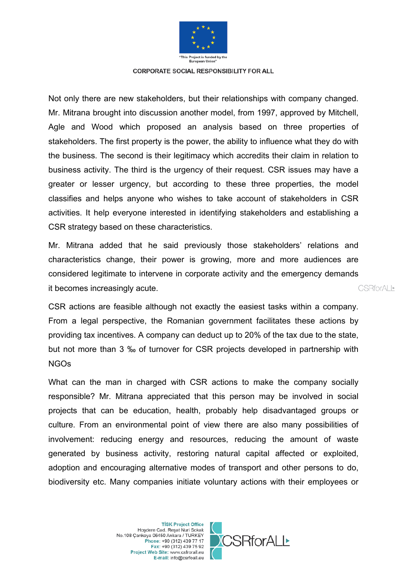

Not only there are new stakeholders, but their relationships with company changed. Mr. Mitrana brought into discussion another model, from 1997, approved by Mitchell, Agle and Wood which proposed an analysis based on three properties of stakeholders. The first property is the power, the ability to influence what they do with the business. The second is their legitimacy which accredits their claim in relation to business activity. The third is the urgency of their request. CSR issues may have a greater or lesser urgency, but according to these three properties, the model classifies and helps anyone who wishes to take account of stakeholders in CSR activities. It help everyone interested in identifying stakeholders and establishing a CSR strategy based on these characteristics.

Mr. Mitrana added that he said previously those stakeholders' relations and characteristics change, their power is growing, more and more audiences are considered legitimate to intervene in corporate activity and the emergency demands it becomes increasingly acute.

CSR actions are feasible although not exactly the easiest tasks within a company. From a legal perspective, the Romanian government facilitates these actions by providing tax incentives. A company can deduct up to 20% of the tax due to the state, but not more than 3 ‰ of turnover for CSR projects developed in partnership with NGOs

What can the man in charged with CSR actions to make the company socially responsible? Mr. Mitrana appreciated that this person may be involved in social projects that can be education, health, probably help disadvantaged groups or culture. From an environmental point of view there are also many possibilities of involvement: reducing energy and resources, reducing the amount of waste generated by business activity, restoring natural capital affected or exploited, adoption and encouraging alternative modes of transport and other persons to do, biodiversity etc. Many companies initiate voluntary actions with their employees or

> **TİSK Project Office** Hoşdere Cad. Reşat Nuri Sokak No.108 Cankaya 06450 Ankara / TURKEY Phone: +90 (312) 439 77 17 Fax: +90 (312) 439 75 92 Project Web Site: www.csfrorall.eu E-mail: info@csrfoall.eu



CSBforALI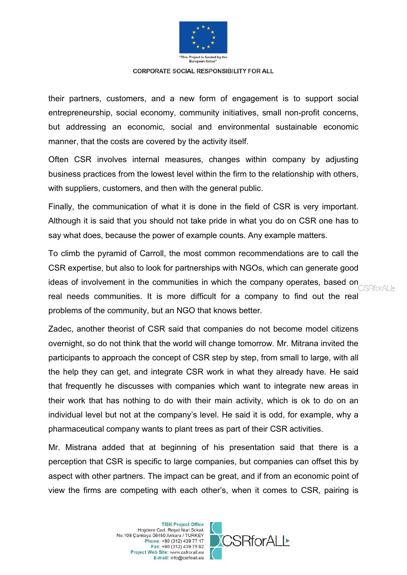

their partners, customers, and a new form of engagement is to support social entrepreneurship, social economy, community initiatives, small non-profit concerns, but addressing an economic, social and environmental sustainable economic manner, that the costs are covered by the activity itself.

Often CSR involves internal measures, changes within company by adjusting business practices from the lowest level within the firm to the relationship with others, with suppliers, customers, and then with the general public.

Finally, the communication of what it is done in the field of CSR is very important. Although it is said that you should not take pride in what you do on CSR one has to say what does, because the power of example counts. Any example matters.

To climb the pyramid of Carroll, the most common recommendations are to call the CSR expertise, but also to look for partnerships with NGOs, which can generate good ideas of involvement in the communities in which the company operates, based on real needs communities. It is more difficult for a company to find out the real problems of the community, but an NGO that knows better.

Zadec, another theorist of CSR said that companies do not become model citizens overnight, so do not think that the world will change tomorrow. Mr. Mitrana invited the participants to approach the concept of CSR step by step, from small to large, with all the help they can get, and integrate CSR work in what they already have. He said that frequently he discusses with companies which want to integrate new areas in their work that has nothing to do with their main activity, which is ok to do on an individual level but not at the company's level. He said it is odd, for example, why a pharmaceutical company wants to plant trees as part of their CSR activities.

Mr. Mistrana added that at beginning of his presentation said that there is a perception that CSR is specific to large companies, but companies can offset this by aspect with other partners. The impact can be great, and if from an economic point of view the firms are competing with each other's, when it comes to CSR, pairing is

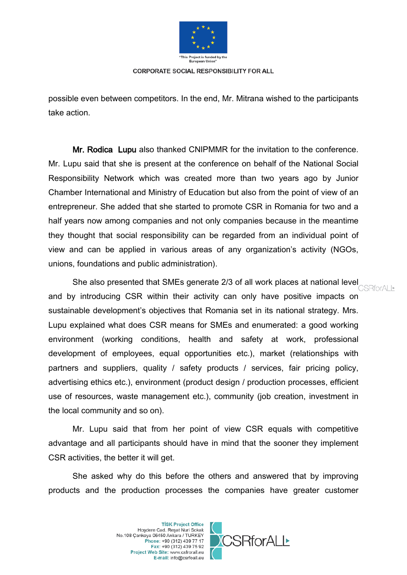

possible even between competitors. In the end, Mr. Mitrana wished to the participants take action.

Mr. Rodica Lupu also thanked CNIPMMR for the invitation to the conference. Mr. Lupu said that she is present at the conference on behalf of the National Social Responsibility Network which was created more than two years ago by Junior Chamber International and Ministry of Education but also from the point of view of an entrepreneur. She added that she started to promote CSR in Romania for two and a half years now among companies and not only companies because in the meantime they thought that social responsibility can be regarded from an individual point of view and can be applied in various areas of any organization's activity (NGOs, unions, foundations and public administration).

She also presented that SMEs generate 2/3 of all work places at national level<br>CSRforALL and by introducing CSR within their activity can only have positive impacts on sustainable development's objectives that Romania set in its national strategy. Mrs. Lupu explained what does CSR means for SMEs and enumerated: a good working environment (working conditions, health and safety at work, professional development of employees, equal opportunities etc.), market (relationships with partners and suppliers, quality / safety products / services, fair pricing policy, advertising ethics etc.), environment (product design / production processes, efficient use of resources, waste management etc.), community (job creation, investment in the local community and so on).

Mr. Lupu said that from her point of view CSR equals with competitive advantage and all participants should have in mind that the sooner they implement CSR activities, the better it will get.

She asked why do this before the others and answered that by improving products and the production processes the companies have greater customer

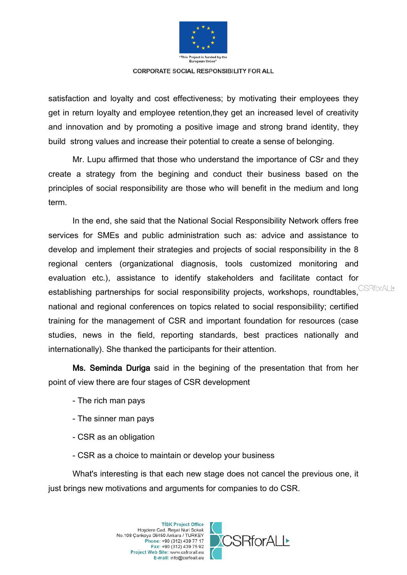

satisfaction and loyalty and cost effectiveness; by motivating their employees they get in return loyalty and employee retention,they get an increased level of creativity and innovation and by promoting a positive image and strong brand identity, they build strong values and increase their potential to create a sense of belonging.

Mr. Lupu affirmed that those who understand the importance of CSr and they create a strategy from the begining and conduct their business based on the principles of social responsibility are those who will benefit in the medium and long term.

In the end, she said that the National Social Responsibility Network offers free services for SMEs and public administration such as: advice and assistance to develop and implement their strategies and projects of social responsibility in the 8 regional centers (organizational diagnosis, tools customized monitoring and evaluation etc.), assistance to identify stakeholders and facilitate contact for establishing partnerships for social responsibility projects, workshops, roundtables, CSRforALL national and regional conferences on topics related to social responsibility; certified training for the management of CSR and important foundation for resources (case studies, news in the field, reporting standards, best practices nationally and internationally). She thanked the participants for their attention.

Ms. Seminda Duriga said in the begining of the presentation that from her point of view there are four stages of CSR development

- The rich man pays
- The sinner man pays
- CSR as an obligation
- CSR as a choice to maintain or develop your business

What's interesting is that each new stage does not cancel the previous one, it just brings new motivations and arguments for companies to do CSR.

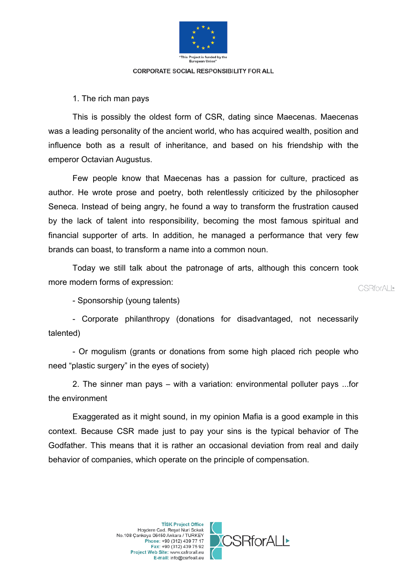

1. The rich man pays

This is possibly the oldest form of CSR, dating since Maecenas. Maecenas was a leading personality of the ancient world, who has acquired wealth, position and influence both as a result of inheritance, and based on his friendship with the emperor Octavian Augustus.

Few people know that Maecenas has a passion for culture, practiced as author. He wrote prose and poetry, both relentlessly criticized by the philosopher Seneca. Instead of being angry, he found a way to transform the frustration caused by the lack of talent into responsibility, becoming the most famous spiritual and financial supporter of arts. In addition, he managed a performance that very few brands can boast, to transform a name into a common noun.

Today we still talk about the patronage of arts, although this concern took more modern forms of expression:

**CSRforALL\*** 

- Sponsorship (young talents)

- Corporate philanthropy (donations for disadvantaged, not necessarily talented)

- Or mogulism (grants or donations from some high placed rich people who need "plastic surgery" in the eyes of society)

2. The sinner man pays – with a variation: environmental polluter pays ...for the environment

Exaggerated as it might sound, in my opinion Mafia is a good example in this context. Because CSR made just to pay your sins is the typical behavior of The Godfather. This means that it is rather an occasional deviation from real and daily behavior of companies, which operate on the principle of compensation.

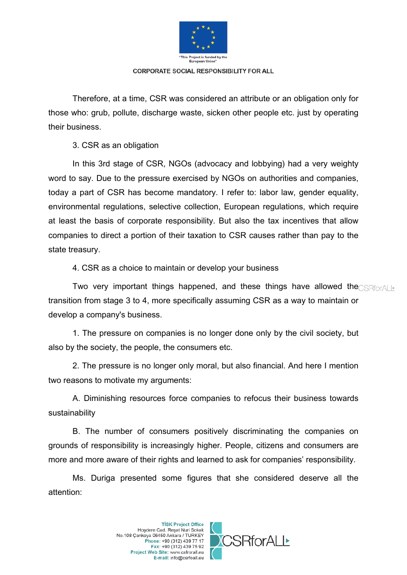

Therefore, at a time, CSR was considered an attribute or an obligation only for those who: grub, pollute, discharge waste, sicken other people etc. just by operating their business.

3. CSR as an obligation

In this 3rd stage of CSR, NGOs (advocacy and lobbying) had a very weighty word to say. Due to the pressure exercised by NGOs on authorities and companies, today a part of CSR has become mandatory. I refer to: labor law, gender equality, environmental regulations, selective collection, European regulations, which require at least the basis of corporate responsibility. But also the tax incentives that allow companies to direct a portion of their taxation to CSR causes rather than pay to the state treasury.

4. CSR as a choice to maintain or develop your business

Two very important things happened, and these things have allowed the  $\text{CSE}$ transition from stage 3 to 4, more specifically assuming CSR as a way to maintain or develop a company's business.

1. The pressure on companies is no longer done only by the civil society, but also by the society, the people, the consumers etc.

2. The pressure is no longer only moral, but also financial. And here I mention two reasons to motivate my arguments:

A. Diminishing resources force companies to refocus their business towards sustainability

B. The number of consumers positively discriminating the companies on grounds of responsibility is increasingly higher. People, citizens and consumers are more and more aware of their rights and learned to ask for companies' responsibility.

Ms. Duriga presented some figures that she considered deserve all the attention:

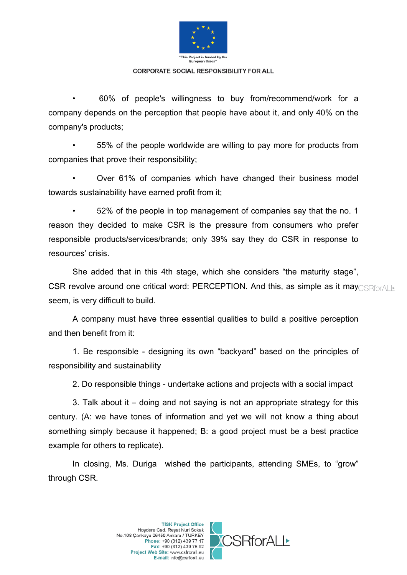

• 60% of people's willingness to buy from/recommend/work for a company depends on the perception that people have about it, and only 40% on the company's products;

• 55% of the people worldwide are willing to pay more for products from companies that prove their responsibility;

• Over 61% of companies which have changed their business model towards sustainability have earned profit from it;

• 52% of the people in top management of companies say that the no. 1 reason they decided to make CSR is the pressure from consumers who prefer responsible products/services/brands; only 39% say they do CSR in response to resources' crisis.

She added that in this 4th stage, which she considers "the maturity stage", CSR revolve around one critical word: PERCEPTION. And this, as simple as it may estimal  $\triangleright$ seem, is very difficult to build.

A company must have three essential qualities to build a positive perception and then benefit from it:

1. Be responsible - designing its own "backyard" based on the principles of responsibility and sustainability

2. Do responsible things - undertake actions and projects with a social impact

3. Talk about it – doing and not saying is not an appropriate strategy for this century. (A: we have tones of information and yet we will not know a thing about something simply because it happened; B: a good project must be a best practice example for others to replicate).

In closing, Ms. Duriga wished the participants, attending SMEs, to "grow" through CSR.



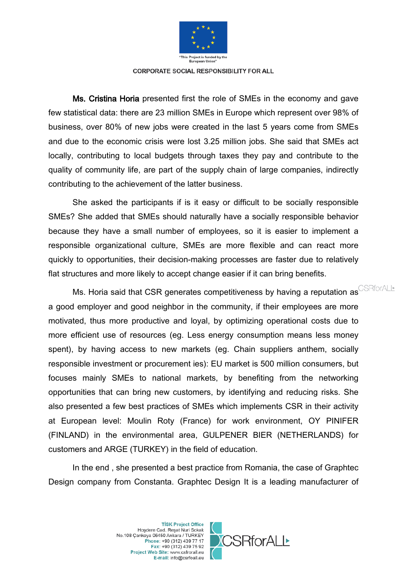

Ms. Cristina Horia presented first the role of SMEs in the economy and gave few statistical data: there are 23 million SMEs in Europe which represent over 98% of business, over 80% of new jobs were created in the last 5 years come from SMEs and due to the economic crisis were lost 3.25 million jobs. She said that SMEs act locally, contributing to local budgets through taxes they pay and contribute to the quality of community life, are part of the supply chain of large companies, indirectly contributing to the achievement of the latter business.

She asked the participants if is it easy or difficult to be socially responsible SMEs? She added that SMEs should naturally have a socially responsible behavior because they have a small number of employees, so it is easier to implement a responsible organizational culture, SMEs are more flexible and can react more quickly to opportunities, their decision-making processes are faster due to relatively flat structures and more likely to accept change easier if it can bring benefits.

Ms. Horia said that CSR generates competitiveness by having a reputation as CSRforALL a good employer and good neighbor in the community, if their employees are more motivated, thus more productive and loyal, by optimizing operational costs due to more efficient use of resources (eg. Less energy consumption means less money spent), by having access to new markets (eg. Chain suppliers anthem, socially responsible investment or procurement ies): EU market is 500 million consumers, but focuses mainly SMEs to national markets, by benefiting from the networking opportunities that can bring new customers, by identifying and reducing risks. She also presented a few best practices of SMEs which implements CSR in their activity at European level: Moulin Roty (France) for work environment, OY PINIFER (FINLAND) in the environmental area, GULPENER BIER (NETHERLANDS) for customers and ARGE (TURKEY) in the field of education.

In the end , she presented a best practice from Romania, the case of Graphtec Design company from Constanta. Graphtec Design It is a leading manufacturer of

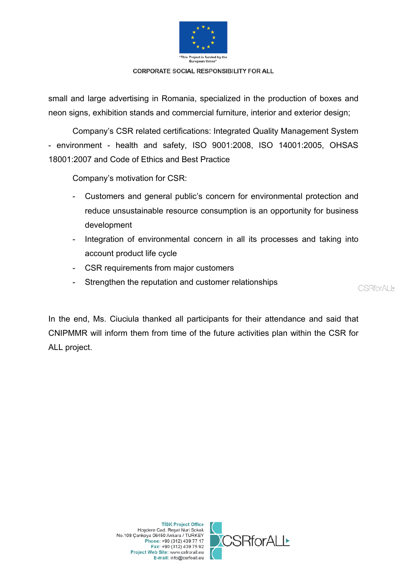

small and large advertising in Romania, specialized in the production of boxes and neon signs, exhibition stands and commercial furniture, interior and exterior design;

Company's CSR related certifications: Integrated Quality Management System - environment - health and safety, ISO 9001:2008, ISO 14001:2005, OHSAS 18001:2007 and Code of Ethics and Best Practice

Company's motivation for CSR:

- Customers and general public's concern for environmental protection and reduce unsustainable resource consumption is an opportunity for business development
- Integration of environmental concern in all its processes and taking into account product life cycle
- CSR requirements from major customers
- Strengthen the reputation and customer relationships

**CSRforALL\*** 

In the end, Ms. Ciuciula thanked all participants for their attendance and said that CNIPMMR will inform them from time of the future activities plan within the CSR for ALL project.

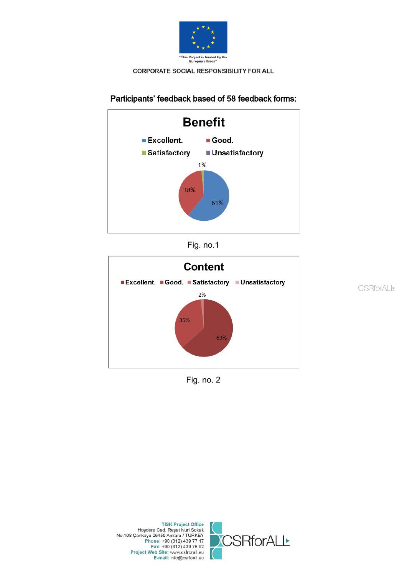

# Participants' feedback based of 58 feedback forms:







**CSRforALL** 

Fig. no. 2

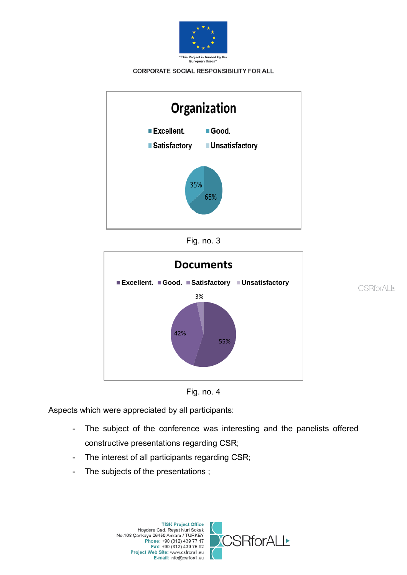







**CSRforALL** 



Aspects which were appreciated by all participants:

- The subject of the conference was interesting and the panelists offered constructive presentations regarding CSR;
- The interest of all participants regarding CSR;
- The subjects of the presentations ;

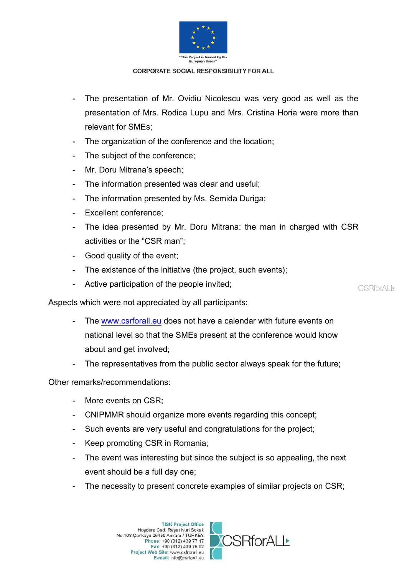

- The presentation of Mr. Ovidiu Nicolescu was very good as well as the presentation of Mrs. Rodica Lupu and Mrs. Cristina Horia were more than relevant for SMEs;
- The organization of the conference and the location;
- The subject of the conference;
- Mr. Doru Mitrana's speech;
- The information presented was clear and useful:
- The information presented by Ms. Semida Duriga;
- Excellent conference;
- The idea presented by Mr. Doru Mitrana: the man in charged with CSR activities or the "CSR man";
- Good quality of the event;
- The existence of the initiative (the project, such events);
- Active participation of the people invited;

**CSRforALL\*** 

Aspects which were not appreciated by all participants:

- The [www.csrforall.eu](http://www.csrforall.eu/) does not have a calendar with future events on national level so that the SMEs present at the conference would know about and get involved;
- The representatives from the public sector always speak for the future;

Other remarks/recommendations:

- More events on CSR;
- CNIPMMR should organize more events regarding this concept;
- Such events are very useful and congratulations for the project;
- Keep promoting CSR in Romania;
- The event was interesting but since the subject is so appealing, the next event should be a full day one;
- The necessity to present concrete examples of similar projects on CSR;